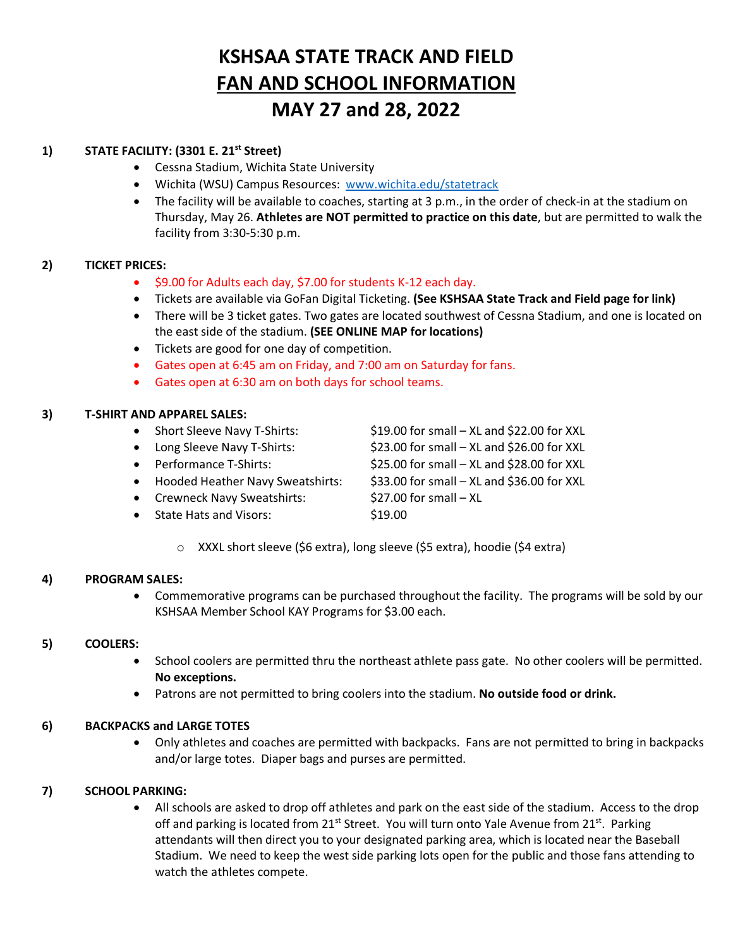# **KSHSAA STATE TRACK AND FIELD FAN AND SCHOOL INFORMATION MAY 27 and 28, 2022**

# **1) STATE FACILITY: (3301 E. 21st Street)**

- Cessna Stadium, Wichita State University
- Wichita (WSU) Campus Resources: [www.wichita.edu/statetrack](http://www.wichita.edu/statetrack)
- The facility will be available to coaches, starting at 3 p.m., in the order of check-in at the stadium on Thursday, May 26. **Athletes are NOT permitted to practice on this date**, but are permitted to walk the facility from 3:30-5:30 p.m.

# **2) TICKET PRICES:**

- \$9.00 for Adults each day, \$7.00 for students K-12 each day.
- Tickets are available via GoFan Digital Ticketing. **(See KSHSAA State Track and Field page for link)**
- There will be 3 ticket gates. Two gates are located southwest of Cessna Stadium, and one is located on the east side of the stadium. **(SEE ONLINE MAP for locations)**
- Tickets are good for one day of competition.
- Gates open at 6:45 am on Friday, and 7:00 am on Saturday for fans.
- Gates open at 6:30 am on both days for school teams.

# **3) T-SHIRT AND APPAREL SALES:**

- Short Sleeve Navy T-Shirts: \$19.00 for small XL and \$22.00 for XXL • Long Sleeve Navy T-Shirts: \$23.00 for small – XL and \$26.00 for XXL • Performance T-Shirts: \$25.00 for small – XL and \$28.00 for XXL • Hooded Heather Navy Sweatshirts: \$33.00 for small – XL and \$36.00 for XXL • Crewneck Navy Sweatshirts:  $\frac{1}{27.00}$  for small – XL
- **State Hats and Visors:** \$19.00

- 
- o XXXL short sleeve (\$6 extra), long sleeve (\$5 extra), hoodie (\$4 extra)

## **4) PROGRAM SALES:**

• Commemorative programs can be purchased throughout the facility. The programs will be sold by our KSHSAA Member School KAY Programs for \$3.00 each.

# **5) COOLERS:**

- School coolers are permitted thru the northeast athlete pass gate. No other coolers will be permitted. **No exceptions.**
- Patrons are not permitted to bring coolers into the stadium. **No outside food or drink.**

# **6) BACKPACKS and LARGE TOTES**

• Only athletes and coaches are permitted with backpacks. Fans are not permitted to bring in backpacks and/or large totes. Diaper bags and purses are permitted.

# **7) SCHOOL PARKING:**

• All schools are asked to drop off athletes and park on the east side of the stadium. Access to the drop off and parking is located from  $21^{st}$  Street. You will turn onto Yale Avenue from  $21^{st}$ . Parking attendants will then direct you to your designated parking area, which is located near the Baseball Stadium. We need to keep the west side parking lots open for the public and those fans attending to watch the athletes compete.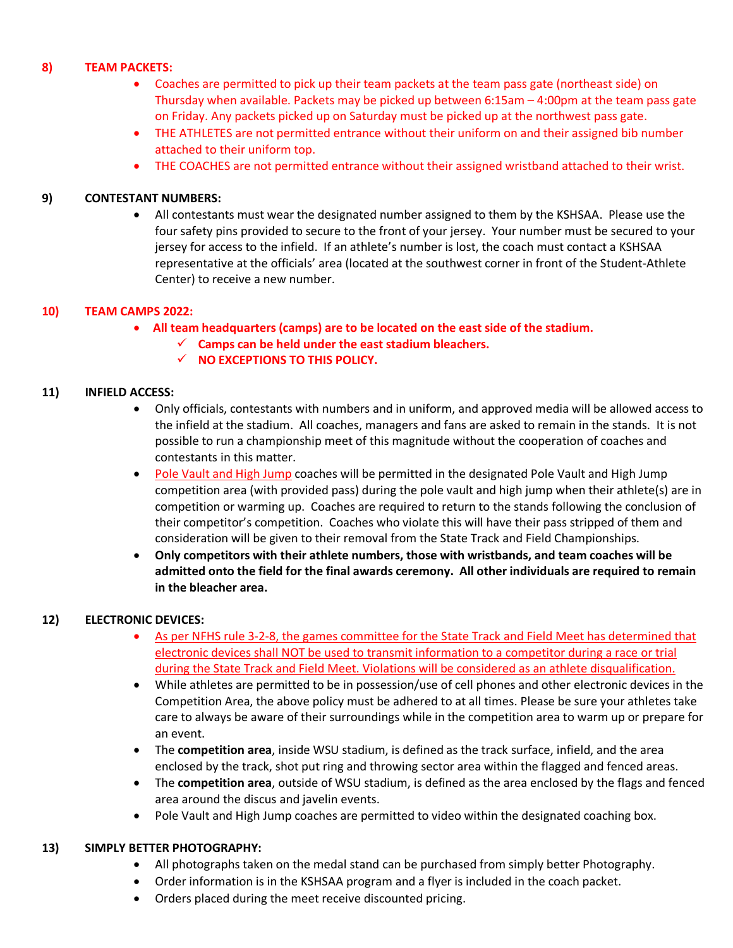## **8) TEAM PACKETS:**

- Coaches are permitted to pick up their team packets at the team pass gate (northeast side) on Thursday when available. Packets may be picked up between 6:15am – 4:00pm at the team pass gate on Friday. Any packets picked up on Saturday must be picked up at the northwest pass gate.
- THE ATHLETES are not permitted entrance without their uniform on and their assigned bib number attached to their uniform top.
- THE COACHES are not permitted entrance without their assigned wristband attached to their wrist.

## **9) CONTESTANT NUMBERS:**

• All contestants must wear the designated number assigned to them by the KSHSAA. Please use the four safety pins provided to secure to the front of your jersey. Your number must be secured to your jersey for access to the infield. If an athlete's number is lost, the coach must contact a KSHSAA representative at the officials' area (located at the southwest corner in front of the Student-Athlete Center) to receive a new number.

## **10) TEAM CAMPS 2022:**

- • **All team headquarters (camps) are to be located on the east side of the stadium.**
	- **Camps can be held under the east stadium bleachers.**
	- $\checkmark$  NO EXCEPTIONS TO THIS POLICY.

#### **11) INFIELD ACCESS:**

- Only officials, contestants with numbers and in uniform, and approved media will be allowed access to the infield at the stadium. All coaches, managers and fans are asked to remain in the stands. It is not possible to run a championship meet of this magnitude without the cooperation of coaches and contestants in this matter.
- Pole Vault and High Jump coaches will be permitted in the designated Pole Vault and High Jump competition area (with provided pass) during the pole vault and high jump when their athlete(s) are in competition or warming up. Coaches are required to return to the stands following the conclusion of their competitor's competition. Coaches who violate this will have their pass stripped of them and consideration will be given to their removal from the State Track and Field Championships.
- **Only competitors with their athlete numbers, those with wristbands, and team coaches will be admitted onto the field for the final awards ceremony. All other individuals are required to remain in the bleacher area.**

## **12) ELECTRONIC DEVICES:**

- As per NFHS rule 3-2-8, the games committee for the State Track and Field Meet has determined that electronic devices shall NOT be used to transmit information to a competitor during a race or trial during the State Track and Field Meet. Violations will be considered as an athlete disqualification.
- While athletes are permitted to be in possession/use of cell phones and other electronic devices in the Competition Area, the above policy must be adhered to at all times. Please be sure your athletes take care to always be aware of their surroundings while in the competition area to warm up or prepare for an event.
- The **competition area**, inside WSU stadium, is defined as the track surface, infield, and the area enclosed by the track, shot put ring and throwing sector area within the flagged and fenced areas.
- The **competition area**, outside of WSU stadium, is defined as the area enclosed by the flags and fenced area around the discus and javelin events.
- Pole Vault and High Jump coaches are permitted to video within the designated coaching box.

#### **13) SIMPLY BETTER PHOTOGRAPHY:**

- All photographs taken on the medal stand can be purchased from simply better Photography.
- Order information is in the KSHSAA program and a flyer is included in the coach packet.
- Orders placed during the meet receive discounted pricing.